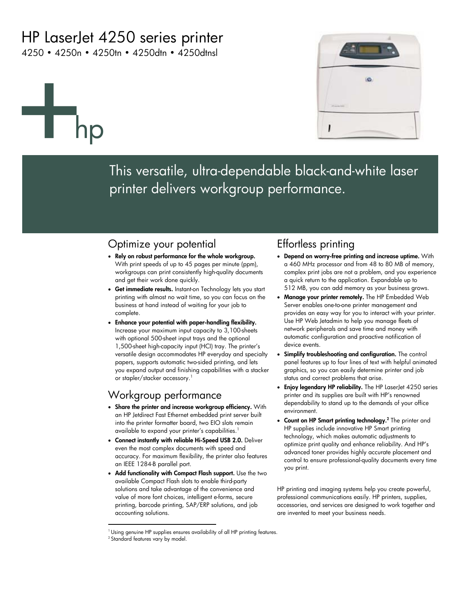# HP LaserJet 4250 series printer

4250 • 4250n • 4250tn • 4250dtn • 4250dtnsl

# hp



This versatile, ultra-dependable black-and-white laser printer delivers workgroup performance.

### Optimize your potential

- **Rely on robust performance for the whole workgroup.** With print speeds of up to 45 pages per minute (ppm), workgroups can print consistently high-quality documents and get their work done quickly.
- **Get immediate results.** Instant-on Technology lets you start printing with almost no wait time, so you can focus on the business at hand instead of waiting for your job to complete.
- **Enhance your potential with paper-handling flexibility.** Increase your maximum input capacity to 3,100-sheets with optional 500-sheet input trays and the optional 1,500-sheet high-capacity input (HCI) tray. The printer's versatile design accommodates HP everyday and specialty papers, supports automatic two-sided printing, and lets you expand output and finishing capabilities with a stacker or stapler/stacker accessory.<sup>1</sup>

# Workgroup performance

 $\overline{a}$ 

- **Share the printer and increase workgroup efficiency.** With an HP Jetdirect Fast Ethernet embedded print server built into the printer formatter board, two EIO slots remain available to expand your printer's capabilities.<sup>1</sup>
- **Connect instantly with reliable Hi-Speed USB 2.0.** Deliver even the most complex documents with speed and accuracy. For maximum flexibility, the printer also features an IEEE 1284-B parallel port.
- **Add functionality with Compact Flash support.** Use the two available Compact Flash slots to enable third-party solutions and take advantage of the convenience and value of more font choices, intelligent e-forms, secure printing, barcode printing, SAP/ERP solutions, and job accounting solutions.

## Effortless printing

- **Depend on worry-free printing and increase uptime.** With a 460 MHz processor and from 48 to 80 MB of memory, complex print jobs are not a problem, and you experience a quick return to the application. Expandable up to 512 MB, you can add memory as your business grows.
- **Manage your printer remotely.** The HP Embedded Web Server enables one-to-one printer management and provides an easy way for you to interact with your printer. Use HP Web Jetadmin to help you manage fleets of network peripherals and save time and money with automatic configuration and proactive notification of device events.
- **Simplify troubleshooting and configuration.** The control panel features up to four lines of text with helpful animated graphics, so you can easily determine printer and job status and correct problems that arise.
- **Enjoy legendary HP reliability.** The HP LaserJet 4250 series printer and its supplies are built with HP's renowned dependability to stand up to the demands of your office environment.
- **Count on HP Smart printing technology.2** The printer and HP supplies include innovative HP Smart printing technology, which makes automatic adjustments to optimize print quality and enhance reliability. And HP's advanced toner provides highly accurate placement and control to ensure professional-quality documents every time you print.

HP printing and imaging systems help you create powerful, professional communications easily. HP printers, supplies, accessories, and services are designed to work together and are invented to meet your business needs.

<sup>&</sup>lt;sup>1</sup> Using genuine HP supplies ensures availability of all HP printing features. <sup>2</sup> Standard features vary by model.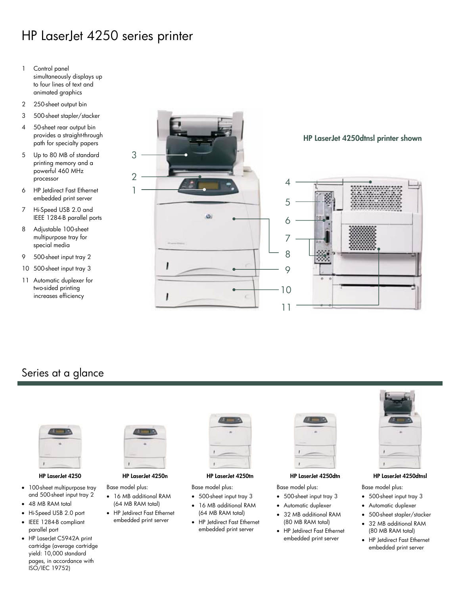# HP LaserJet 4250 series printer

- 1 Control panel simultaneously displays up to four lines of text and animated graphics
- 2 250-sheet output bin
- 3 500-sheet stapler/stacker
- 4 50-sheet rear output bin provides a straight-through path for specialty papers
- 5 Up to 80 MB of standard printing memory and a powerful 460 MHz processor
- 6 HP Jetdirect Fast Ethernet embedded print server
- 7 Hi-Speed USB 2.0 and IEEE 1284-B parallel ports
- 8 Adjustable 100-sheet multipurpose tray for special media
- 9 500-sheet input tray 2
- 10 500-sheet input tray 3
- 11 Automatic duplexer for two-sided printing increases efficiency



### Series at a glance



- 100-sheet multipurpose tray and 500-sheet input tray 2
- 48 MB RAM total
- Hi-Speed USB 2.0 port
- IEEE 1284-B compliant parallel port
- HP LaserJet C5942A print cartridge (average cartridge yield: 10,000 standard pages, in accordance with ISO/IEC 19752)



- Base model plus: • 16 MB additional RAM (64 MB RAM total)
- HP Jetdirect Fast Ethernet embedded print server

### **HP LaserJet 4250 HP LaserJet 4250n HP LaserJet 4250tn HP LaserJet 4250dtn HP LaserJet 4250dtnsl**

Base model plus:

- 500-sheet input tray 3
- 16 MB additional RAM (64 MB RAM total)
- HP Jetdirect Fast Ethernet embedded print server

Base model plus:

- 500-sheet input tray 3
- Automatic duplexer
- 32 MB additional RAM (80 MB RAM total)
- HP Jetdirect Fast Ethernet embedded print server



Base model plus:

- 500-sheet input tray 3
- Automatic duplexer
- 500-sheet stapler/stacker
- 32 MB additional RAM (80 MB RAM total)
- HP Jetdirect Fast Ethernet embedded print server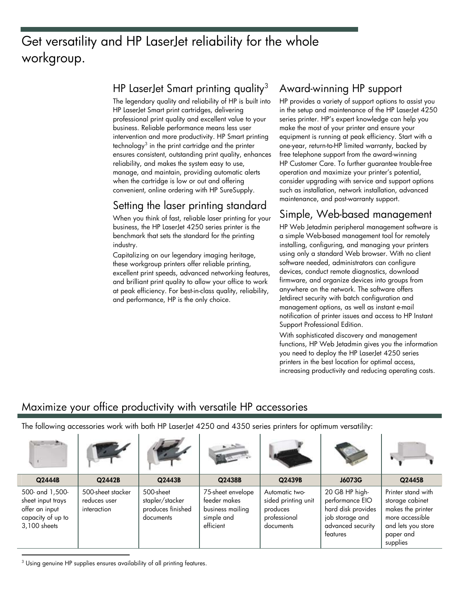# Get versatility and HP LaserJet reliability for the whole workgroup.

### HP LaserJet Smart printing quality<sup>3</sup>

The legendary quality and reliability of HP is built into HP LaserJet Smart print cartridges, delivering professional print quality and excellent value to your business. Reliable performance means less user intervention and more productivity. HP Smart printing technology $^3$  in the print cartridge and the printer ensures consistent, outstanding print quality, enhances reliability, and makes the system easy to use, manage, and maintain, providing automatic alerts when the cartridge is low or out and offering convenient, online ordering with HP SureSupply.

# Setting the laser printing standard

When you think of fast, reliable laser printing for your business, the HP LaserJet 4250 series printer is the benchmark that sets the standard for the printing industry.

Capitalizing on our legendary imaging heritage, these workgroup printers offer reliable printing, excellent print speeds, advanced networking features, and brilliant print quality to allow your office to work at peak efficiency. For best-in-class quality, reliability, and performance, HP is the only choice.

# Award-winning HP support

HP provides a variety of support options to assist you in the setup and maintenance of the HP LaserJet 4250 series printer. HP's expert knowledge can help you make the most of your printer and ensure your equipment is running at peak efficiency. Start with a one-year, return-to-HP limited warranty, backed by free telephone support from the award-winning HP Customer Care. To further guarantee trouble-free operation and maximize your printer's potential, consider upgrading with service and support options such as installation, network installation, advanced maintenance, and post-warranty support.

# Simple, Web-based management

HP Web Jetadmin peripheral management software is a simple Web-based management tool for remotely installing, configuring, and managing your printers using only a standard Web browser. With no client software needed, administrators can configure devices, conduct remote diagnostics, download firmware, and organize devices into groups from anywhere on the network. The software offers Jetdirect security with batch configuration and management options, as well as instant e-mail notification of printer issues and access to HP Instant Support Professional Edition.

With sophisticated discovery and management functions, HP Web Jetadmin gives you the information you need to deploy the HP LaserJet 4250 series printers in the best location for optimal access, increasing productivity and reducing operating costs.

# Maximize your office productivity with versatile HP accessories

The following accessories work with both HP LaserJet 4250 and 4350 series printers for optimum versatility:

| <b>CONTRACTOR</b>                                                                           |                                                  |                                                                |                                                                                  |                                                                                |                                                                                                             |                                                                                                                              |
|---------------------------------------------------------------------------------------------|--------------------------------------------------|----------------------------------------------------------------|----------------------------------------------------------------------------------|--------------------------------------------------------------------------------|-------------------------------------------------------------------------------------------------------------|------------------------------------------------------------------------------------------------------------------------------|
| Q2444B                                                                                      | Q2442B                                           | Q2443B                                                         | Q2438B                                                                           | Q2439B                                                                         | J6073G                                                                                                      | Q2445B                                                                                                                       |
| 500- and 1,500-<br>sheet input trays<br>offer an input<br>capacity of up to<br>3,100 sheets | 500-sheet stacker<br>reduces user<br>interaction | 500-sheet<br>stapler/stacker<br>produces finished<br>documents | 75-sheet envelope<br>feeder makes<br>business mailing<br>simple and<br>efficient | Automatic two-<br>sided printing unit<br>produces<br>professional<br>documents | 20 GB HP high-<br>performance EIO<br>hard disk provides<br>job storage and<br>advanced security<br>features | Printer stand with<br>storage cabinet<br>makes the printer<br>more accessible<br>and lets you store<br>paper and<br>supplies |

<sup>3</sup> Using genuine HP supplies ensures availability of all printing features.

1